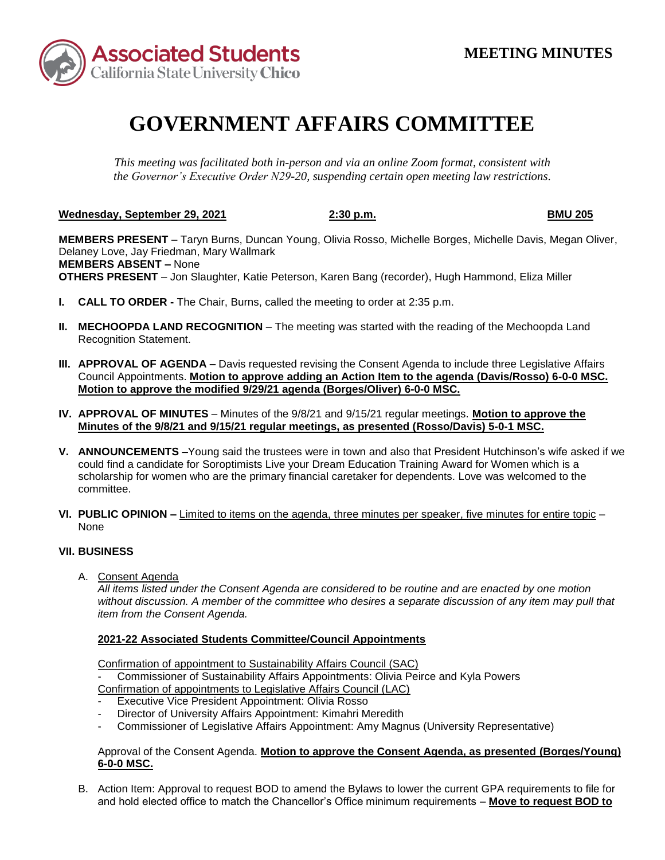

# **GOVERNMENT AFFAIRS COMMITTEE**

*This meeting was facilitated both in-person and via an online Zoom format, consistent with the Governor's Executive Order N29-20, suspending certain open meeting law restrictions.* 

**Wednesday, September 29, 2021 2:30 p.m. BMU 205** 

 **MEMBERS ABSENT –** None **MEMBERS PRESENT** – Taryn Burns, Duncan Young, Olivia Rosso, Michelle Borges, Michelle Davis, Megan Oliver, Delaney Love, Jay Friedman, Mary Wallmark **OTHERS PRESENT** – Jon Slaughter, Katie Peterson, Karen Bang (recorder), Hugh Hammond, Eliza Miller

- **I. CALL TO ORDER -** The Chair, Burns, called the meeting to order at 2:35 p.m.
- **II. MECHOOPDA LAND RECOGNITION** The meeting was started with the reading of the Mechoopda Land Recognition Statement.
- **III. APPROVAL OF AGENDA –** Davis requested revising the Consent Agenda to include three Legislative Affairs Council Appointments. **Motion to approve adding an Action Item to the agenda (Davis/Rosso) 6-0-0 MSC. Motion to approve the modified 9/29/21 agenda (Borges/Oliver) 6-0-0 MSC.**
- **Minutes of the 9/8/21 and 9/15/21 regular meetings, as presented (Rosso/Davis) 5-0-1 MSC. IV. APPROVAL OF MINUTES** – Minutes of the 9/8/21 and 9/15/21 regular meetings. **Motion to approve the**
- **V. ANNOUNCEMENTS –**Young said the trustees were in town and also that President Hutchinson's wife asked if we could find a candidate for Soroptimists Live your Dream Education Training Award for Women which is a scholarship for women who are the primary financial caretaker for dependents. Love was welcomed to the committee.
- **VI. PUBLIC OPINION –** Limited to items on the agenda, three minutes per speaker, five minutes for entire topic None

# **VII. BUSINESS**

A. Consent Agenda

*All items listed under the Consent Agenda are considered to be routine and are enacted by one motion without discussion. A member of the committee who desires a separate discussion of any item may pull that item from the Consent Agenda.* 

# **2021-22 Associated Students Committee/Council Appointments**

Confirmation of appointment to Sustainability Affairs Council (SAC)

Commissioner of Sustainability Affairs Appointments: Olivia Peirce and Kyla Powers Confirmation of appointments to Legislative Affairs Council (LAC)

- Executive Vice President Appointment: Olivia Rosso
- Director of University Affairs Appointment: Kimahri Meredith
- Commissioner of Legislative Affairs Appointment: Amy Magnus (University Representative)

### Approval of the Consent Agenda. **Motion to approve the Consent Agenda, as presented (Borges/Young) 6-0-0 MSC.**

 B. Action Item: Approval to request BOD to amend the Bylaws to lower the current GPA requirements to file for and hold elected office to match the Chancellor's Office minimum requirements – **Move to request BOD to**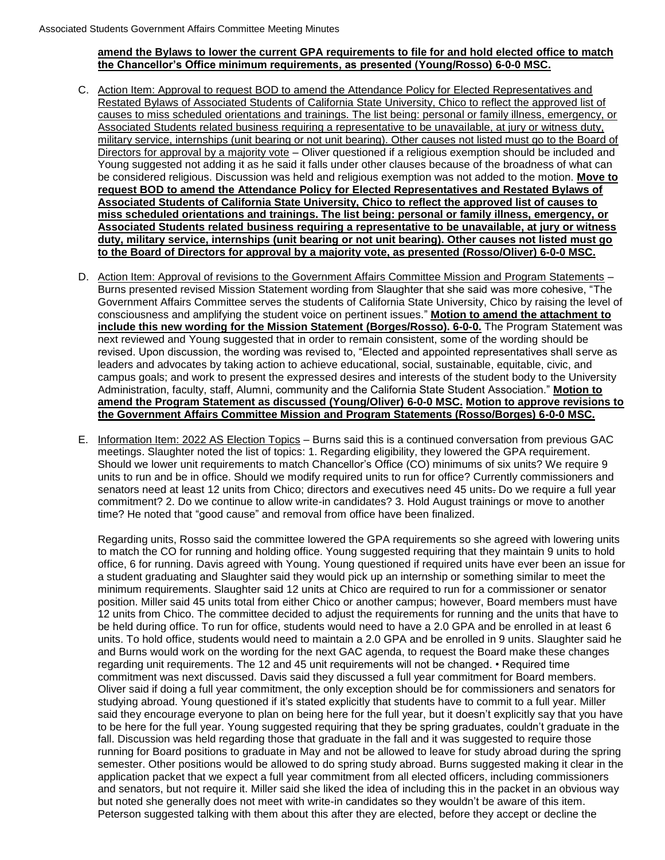#### **amend the Bylaws to lower the current GPA requirements to file for and hold elected office to match the Chancellor's Office minimum requirements, as presented (Young/Rosso) 6-0-0 MSC.**

- Restated Bylaws of Associated Students of California State University, Chico to reflect the approved list of military service, internships (unit bearing or not unit bearing). Other causes not listed must go to the Board of Young suggested not adding it as he said it falls under other clauses because of the broadness of what can C. Action Item: Approval to request BOD to amend the Attendance Policy for Elected Representatives and causes to miss scheduled orientations and trainings. The list being: personal or family illness, emergency, or Associated Students related business requiring a representative to be unavailable, at jury or witness duty, Directors for approval by a majority vote – Oliver questioned if a religious exemption should be included and be considered religious. Discussion was held and religious exemption was not added to the motion. **Move to request BOD to amend the Attendance Policy for Elected Representatives and Restated Bylaws of Associated Students of California State University, Chico to reflect the approved list of causes to miss scheduled orientations and trainings. The list being: personal or family illness, emergency, or Associated Students related business requiring a representative to be unavailable, at jury or witness duty, military service, internships (unit bearing or not unit bearing). Other causes not listed must go to the Board of Directors for approval by a majority vote, as presented (Rosso/Oliver) 6-0-0 MSC.**
- Government Affairs Committee serves the students of California State University, Chico by raising the level of D. Action Item: Approval of revisions to the Government Affairs Committee Mission and Program Statements – Burns presented revised Mission Statement wording from Slaughter that she said was more cohesive, "The consciousness and amplifying the student voice on pertinent issues." **Motion to amend the attachment to include this new wording for the Mission Statement (Borges/Rosso). 6-0-0.** The Program Statement was next reviewed and Young suggested that in order to remain consistent, some of the wording should be revised. Upon discussion, the wording was revised to, "Elected and appointed representatives shall serve as leaders and advocates by taking action to achieve educational, social, sustainable, equitable, civic, and campus goals; and work to present the expressed desires and interests of the student body to the University Administration, faculty, staff, Alumni, community and the California State Student Association." **Motion to amend the Program Statement as discussed (Young/Oliver) 6-0-0 MSC. Motion to approve revisions to the Government Affairs Committee Mission and Program Statements (Rosso/Borges) 6-0-0 MSC.**
- senators need at least 12 units from Chico; directors and executives need 45 units. Do we require a full year E. Information Item: 2022 AS Election Topics – Burns said this is a continued conversation from previous GAC meetings. Slaughter noted the list of topics: 1. Regarding eligibility, they lowered the GPA requirement. Should we lower unit requirements to match Chancellor's Office (CO) minimums of six units? We require 9 units to run and be in office. Should we modify required units to run for office? Currently commissioners and commitment? 2. Do we continue to allow write-in candidates? 3. Hold August trainings or move to another time? He noted that "good cause" and removal from office have been finalized.

 be held during office. To run for office, students would need to have a 2.0 GPA and be enrolled in at least 6 units. To hold office, students would need to maintain a 2.0 GPA and be enrolled in 9 units. Slaughter said he said they encourage everyone to plan on being here for the full year, but it doesn't explicitly say that you have running for Board positions to graduate in May and not be allowed to leave for study abroad during the spring and senators, but not require it. Miller said she liked the idea of including this in the packet in an obvious way but noted she generally does not meet with write-in candidates so they wouldn't be aware of this item. Regarding units, Rosso said the committee lowered the GPA requirements so she agreed with lowering units to match the CO for running and holding office. Young suggested requiring that they maintain 9 units to hold office, 6 for running. Davis agreed with Young. Young questioned if required units have ever been an issue for a student graduating and Slaughter said they would pick up an internship or something similar to meet the minimum requirements. Slaughter said 12 units at Chico are required to run for a commissioner or senator position. Miller said 45 units total from either Chico or another campus; however, Board members must have 12 units from Chico. The committee decided to adjust the requirements for running and the units that have to and Burns would work on the wording for the next GAC agenda, to request the Board make these changes regarding unit requirements. The 12 and 45 unit requirements will not be changed. • Required time commitment was next discussed. Davis said they discussed a full year commitment for Board members. Oliver said if doing a full year commitment, the only exception should be for commissioners and senators for studying abroad. Young questioned if it's stated explicitly that students have to commit to a full year. Miller to be here for the full year. Young suggested requiring that they be spring graduates, couldn't graduate in the fall. Discussion was held regarding those that graduate in the fall and it was suggested to require those semester. Other positions would be allowed to do spring study abroad. Burns suggested making it clear in the application packet that we expect a full year commitment from all elected officers, including commissioners Peterson suggested talking with them about this after they are elected, before they accept or decline the